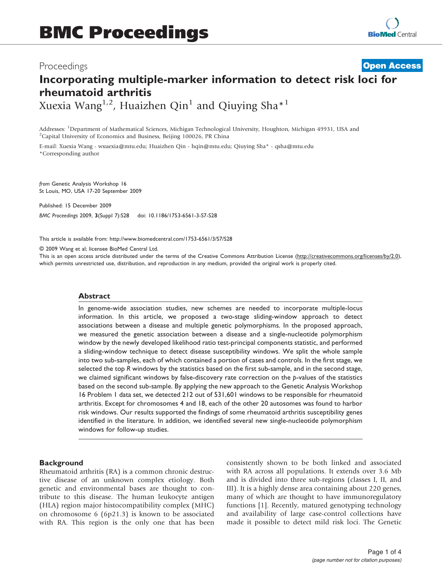# Proceedings

# Incorporating multiple-marker information to detect risk loci for rheumatoid arthritis **[Open Access](http://www.biomedcentral.com/info/about/charter/)**

Xuexia Wang<sup>1,2</sup>, Huaizhen Qin<sup>1</sup> and Qiuying Sha<sup>\*1</sup>

Addresses: <sup>1</sup>Department of Mathematical Sciences, Michigan Technological University, Houghton, Michigan 49931, USA and<br><sup>2</sup>Capital University of Economics and Business, Beijing 100026, PR China <sup>2</sup>Capital University of Economics and Business, Beijing 100026, PR China

E-mail: Xuexia Wang - [wxuexia@mtu.edu;](mailto:wxuexia@mtu.edu) Huaizhen Qin - [hqin@mtu.edu;](mailto:hqin@mtu.edu) Qiuying Sha\* - [qsha@mtu.edu](mailto:qsha@mtu.edu) \*Corresponding author

from Genetic Analysis Workshop 16 St Louis, MO, USA 17-20 September 2009

Published: 15 December 2009 BMC Proceedings 2009, 3(Suppl 7):S28 doi: 10.1186/1753-6561-3-S7-S28

This article is available from: http://www.biomedcentral.com/1753-6561/3/S7/S28

© 2009 Wang et al; licensee BioMed Central Ltd.

This is an open access article distributed under the terms of the Creative Commons Attribution License [\(http://creativecommons.org/licenses/by/2.0\)](http://creativecommons.org/licenses/by/2.0), which permits unrestricted use, distribution, and reproduction in any medium, provided the original work is properly cited.

# Abstract

In genome-wide association studies, new schemes are needed to incorporate multiple-locus information. In this article, we proposed a two-stage sliding-window approach to detect associations between a disease and multiple genetic polymorphisms. In the proposed approach, we measured the genetic association between a disease and a single-nucleotide polymorphism window by the newly developed likelihood ratio test-principal components statistic, and performed a sliding-window technique to detect disease susceptibility windows. We split the whole sample into two sub-samples, each of which contained a portion of cases and controls. In the first stage, we selected the top R windows by the statistics based on the first sub-sample, and in the second stage, we claimed significant windows by false-discovery rate correction on the  $p$ -values of the statistics based on the second sub-sample. By applying the new approach to the Genetic Analysis Workshop 16 Problem 1 data set, we detected 212 out of 531,601 windows to be responsible for rheumatoid arthritis. Except for chromosomes 4 and 18, each of the other 20 autosomes was found to harbor risk windows. Our results supported the findings of some rheumatoid arthritis susceptibility genes identified in the literature. In addition, we identified several new single-nucleotide polymorphism windows for follow-up studies.

# **Background**

Rheumatoid arthritis (RA) is a common chronic destructive disease of an unknown complex etiology. Both genetic and environmental bases are thought to contribute to this disease. The human leukocyte antigen (HLA) region major histocompatibility complex (MHC) on chromosome 6 (6p21.3) is known to be associated with RA. This region is the only one that has been consistently shown to be both linked and associated with RA across all populations. It extends over 3.6 Mb and is divided into three sub-regions (classes I, II, and III). It is a highly dense area containing about 220 genes, many of which are thought to have immunoregulatory functions [[1](#page-3-0)]. Recently, matured genotyping technology and availability of large case-control collections have made it possible to detect mild risk loci. The Genetic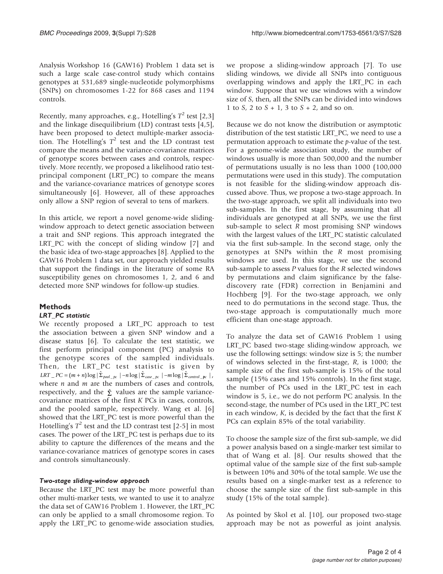Analysis Workshop 16 (GAW16) Problem 1 data set is such a large scale case-control study which contains genotypes at 531,689 single-nucleotide polymorphisms (SNPs) on chromosomes 1-22 for 868 cases and 1194 controls.

Recently, many approaches, e.g., Hotelling's  $T^2$  test [\[2,3\]](#page-3-0) and the linkage disequilibrium (LD) contrast tests [[4](#page-3-0),[5](#page-3-0)], have been proposed to detect multiple-marker association. The Hotelling's  $T^2$  test and the LD contrast test compare the means and the variance-covariance matrices of genotype scores between cases and controls, respectively. More recently, we proposed a likelihood ratio testprincipal component (LRT\_PC) to compare the means and the variance-covariance matrices of genotype scores simultaneously [[6](#page-3-0)]. However, all of these approaches only allow a SNP region of several to tens of markers.

In this article, we report a novel genome-wide slidingwindow approach to detect genetic association between a trait and SNP regions. This approach integrated the LRT\_PC with the concept of sliding window [[7](#page-3-0)] and the basic idea of two-stage approaches [\[8\]](#page-3-0). Applied to the GAW16 Problem 1 data set, our approach yielded results that support the findings in the literature of some RA susceptibility genes on chromosomes 1, 2, and 6 and detected more SNP windows for follow-up studies.

# Methods

# LRT\_PC statistic

We recently proposed a LRT\_PC approach to test the association between a given SNP window and a disease status [\[6\]](#page-3-0). To calculate the test statistic, we first perform principal component (PC) analysis to the genotype scores of the sampled individuals. Then, the LRT\_PC test statistic is given by  $LRT \_\textit{PC} = (m + n) \log |\hat{\Sigma}_{pool \_\textit{pc}}| - n \log |\hat{\Sigma}_{case \_\textit{pc}}| - m \log |\hat{\Sigma}_{control \_\textit{pc}}|$ , where  $n$  and  $m$  are the numbers of cases and controls, respectively, and the  $\hat{\Sigma}$  values are the sample variancecovariance matrices of the first K PCs in cases, controls, and the pooled sample, respectively. Wang et al. [\[6\]](#page-3-0) showed that the LRT\_PC test is more powerful than the Hotelling's  $T^2$  $T^2$  test and the LD contrast test [2-[5](#page-3-0)] in most cases. The power of the LRT\_PC test is perhaps due to its ability to capture the differences of the means and the variance-covariance matrices of genotype scores in cases and controls simultaneously.

#### Two-stage sliding-window approach

Because the LRT\_PC test may be more powerful than other multi-marker tests, we wanted to use it to analyze the data set of GAW16 Problem 1. However, the LRT\_PC can only be applied to a small chromosome region. To apply the LRT\_PC to genome-wide association studies,

we propose a sliding-window approach [\[7\]](#page-3-0). To use sliding windows, we divide all SNPs into contiguous overlapping windows and apply the LRT\_PC in each window. Suppose that we use windows with a window size of S, then, all the SNPs can be divided into windows 1 to  $S_1$ , 2 to  $S + 1$ , 3 to  $S + 2$ , and so on.

Because we do not know the distribution or asymptotic distribution of the test statistic LRT\_PC, we need to use a permutation approach to estimate the p-value of the test. For a genome-wide association study, the number of windows usually is more than 500,000 and the number of permutations usually is no less than 1000 (100,000 permutations were used in this study). The computation is not feasible for the sliding-window approach discussed above. Thus, we propose a two-stage approach. In the two-stage approach, we split all individuals into two sub-samples. In the first stage, by assuming that all individuals are genotyped at all SNPs, we use the first sub-sample to select R most promising SNP windows with the largest values of the LRT\_PC statistic calculated via the first sub-sample. In the second stage, only the genotypes at SNPs within the R most promising windows are used. In this stage, we use the second sub-sample to assess P values for the R selected windows by permutations and claim significance by the falsediscovery rate (FDR) correction in Benjamini and Hochberg [[9](#page-3-0)]. For the two-stage approach, we only need to do permutations in the second stage. Thus, the two-stage approach is computationally much more efficient than one-stage approach.

To analyze the data set of GAW16 Problem 1 using LRT\_PC based two-stage sliding-window approach, we use the following settings: window size is 5; the number of windows selected in the first-stage, R, is 1000; the sample size of the first sub-sample is 15% of the total sample (15% cases and 15% controls). In the first stage, the number of PCs used in the LRT\_PC test in each window is 5, i.e., we do not perform PC analysis. In the second-stage, the number of PCs used in the LRT\_PC test in each window,  $K$ , is decided by the fact that the first  $K$ PCs can explain 85% of the total variability.

To choose the sample size of the first sub-sample, we did a power analysis based on a single-marker test similar to that of Wang et al. [[8](#page-3-0)]. Our results showed that the optimal value of the sample size of the first sub-sample is between 10% and 30% of the total sample. We use the results based on a single-marker test as a reference to choose the sample size of the first sub-sample in this study (15% of the total sample).

As pointed by Skol et al. [\[10](#page-3-0)], our proposed two-stage approach may be not as powerful as joint analysis.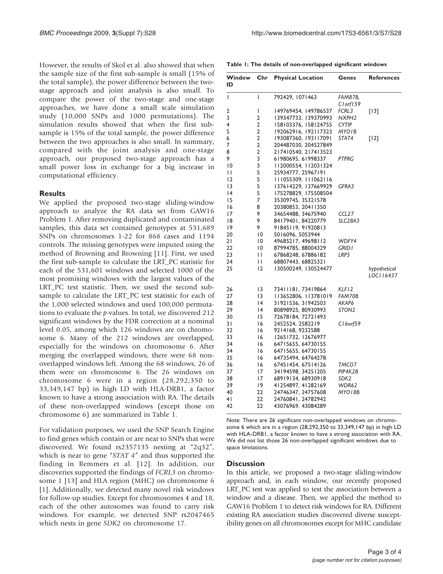Table 1: The details of non-overlapped significant windows

| However, the results of Skol et al. also showed that when |
|-----------------------------------------------------------|
| the sample size of the first sub-sample is small (15% of  |
| the total sample), the power difference between the two-  |
| stage approach and joint analysis is also small. To       |
| compare the power of the two-stage and one-stage          |
| approaches, we have done a small scale simulation         |
| study (10,000 SNPs and 1000 permutations). The            |
| simulation results showed that when the first sub-        |
| sample is 15% of the total sample, the power difference   |
| between the two approaches is also small. In summary,     |
| compared with the joint analysis and one-stage            |
| approach, our proposed two-stage approach has a           |
| small power loss in exchange for a big increase in        |
| computational efficiency.                                 |
|                                                           |

#### **Results**

We applied the proposed two-stage sliding-window approach to analyze the RA data set from GAW16 Problem 1. After removing duplicated and contaminated samples, this data set contained genotypes at 531,689 SNPs on chromosomes 1-22 for 868 cases and 1194 controls. The missing genotypes were imputed using the method of Browning and Browning [[11\]](#page-3-0). First, we used the first sub-sample to calculate the LRT\_PC statistic for each of the 531,601 windows and selected 1000 of the most promising windows with the largest values of the LRT\_PC test statistic. Then, we used the second subsample to calculate the LRT\_PC test statistic for each of the 1,000 selected windows and used 100,000 permutations to evaluate the p-values. In total, we discovered 212 significant windows by the FDR correction at a nominal level 0.05, among which 126 windows are on chromosome 6. Many of the 212 windows are overlapped, especially for the windows on chromosome 6. After merging the overlapped windows, there were 68 nonoverlapped windows left. Among the 68 windows, 26 of them were on chromosome 6. The 26 windows on chromosome 6 were in a region (28,292,350 to 33,349,147 bp) in high LD with HLA-DRB1, a factor known to have a strong association with RA. The details of these non-overlapped windows (except those on chromosome 6) are summarized in Table 1.

For validation purposes, we used the SNP Search Engine to find genes which contain or are near to SNPs that were discovered. We found rs2357135 nesting at "2q32", which is near to gene "STAT 4" and thus supported the finding in Remmers et al. [\[12\]](#page-3-0). In addition, our discoveries supported the findings of FCRL3 on chromosome 1 [\[13](#page-3-0)] and HLA region (MHC) on chromosome 6 [[1](#page-3-0)]. Additionally, we detected many novel risk windows for follow-up studies. Except for chromosomes 4 and 18, each of the other autosomes was found to carry risk windows. For example, we detected SNP rs2047465 which nests in gene *SDK2* on chromosome 17.

| Window<br>ID    | Chr | <b>Physical Location</b> | Genes                | <b>References</b> |
|-----------------|-----|--------------------------|----------------------|-------------------|
| I               | I   | 792429, 1071463          | FAM87B,              |                   |
|                 |     |                          | $Cl$ orf $159$       |                   |
| 2               | I   | 149769454, 149786537     | FCRL3                | $[13]$            |
| 3               | 2   | 139347733, 139370993     | NXPH <sub>2</sub>    |                   |
| 4               | 2   | 158103376, 158124755     | <b>CYTIP</b>         |                   |
| 5               | 2   | 192062916, 192117323     | MYOIB                |                   |
| 6               | 2   | 193087360, 193117091     | STAT4                | $[12]$            |
| 7               | 2   | 204487030, 204527849     |                      |                   |
| 8               | 2   | 217410540, 217413523     |                      |                   |
| 9               | 3   | 61980695, 61998337       | PTPRG                |                   |
| $\overline{10}$ | 3   | 112000554, 112031324     |                      |                   |
| П               | 5   | 25934777, 25967191       |                      |                   |
| 12              | 5   | 111055309, 111062116     |                      |                   |
| 13              | 5   | 137614229, 137669929     | GFRA3                |                   |
| 14              | 5   | 175278829, 175508504     |                      |                   |
| 15              | 7   | 35309745, 35321578       |                      |                   |
| 16              | 8   | 20380853, 20411350       |                      |                   |
| 17              | 9   | 34654488, 34675940       | CCL <sub>27</sub>    |                   |
| 18              | 9   | 84179401, 84220779       | SLC <sub>2</sub> 8A3 |                   |
| 19              | 9   | 91845119, 91920813       |                      |                   |
| 20              | 10  | 5016096, 5053944         |                      |                   |
| 21              | 10  | 49685217, 49698112       | WDFY4                |                   |
| 22              | 10  | 87994785, 88004329       | GRID I               |                   |
| 23              | ш   | 67868248, 67886182       | LRP5                 |                   |
| 24              | Ш   | 68807443, 68825321       |                      |                   |
| 25              | 12  | 130500249, 130524477     |                      | hypothetical      |
|                 |     |                          |                      | LOCI 16437        |
| 26              | 13  | 73411181, 73419864       | KLF I 2              |                   |
| 27              | 13  | 113652806, 113781019     | FAM70B               |                   |
| 28              | 14  | 31921536, 31942503       | AKAP6                |                   |
| 29              | 14  | 80898925, 80930993       | STON <sub>2</sub>    |                   |
| 30              | 15  | 72678184, 72721493       |                      |                   |
| 31              | 16  | 2452524, 2582219         | $C16$ orf $59$       |                   |
| 32              | 16  | 9214168, 9232588         |                      |                   |
| 33              | 16  | 12651732, 12676977       |                      |                   |
| 34              | 16  | 64715655, 64730155       |                      |                   |
| 34              | 16  | 64715655, 64730155       |                      |                   |
| 35              | 16  | 64735494, 64764278       |                      |                   |
| 36              | 16  | 67451454, 67514126       | TMCO7                |                   |
| 37              | 17  | 34194598, 34251205       | PIP4K2B              |                   |
| 38              | 17  | 68919134, 68930918       | SDK <sub>2</sub>     |                   |
| 39              | 19  | 41254897, 41282169       | WDR62                |                   |
| 40              | 22  | 24746347, 24757608       | MYO I 8B             |                   |
| 41              | 22  | 24760841, 24782942       |                      |                   |
| 42              | 22  | 43076969, 43084289       |                      |                   |
|                 |     |                          |                      |                   |

Note: There are 26 significant non-overlapped windows on chromosome 6 which are in a region (28,292,350 to 33,349,147 bp) in high LD with HLA-DRB1, a factor known to have a strong association with RA. We did not list those 26 non-overlapped significant windows due to space limitations.

#### **Discussion**

In this article, we proposed a two-stage sliding-window approach and, in each window, our recently proposed LRT\_PC test was applied to test the association between a window and a disease. Then, we applied the method to GAW16 Problem 1 to detect risk windows for RA. Different existing RA association studies discovered diverse susceptibility genes on all chromosomes except for MHC candidate